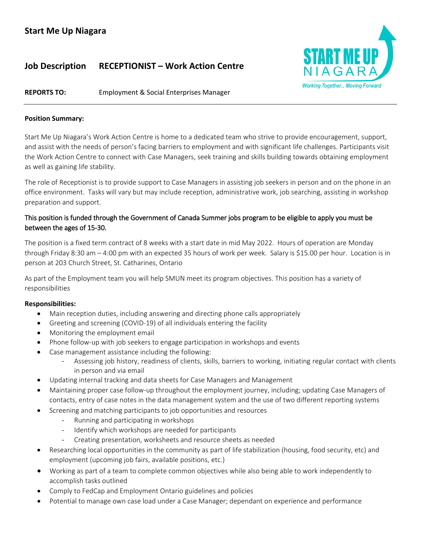# **Job Description RECEPTIONIST – Work Action Centre**



**REPORTS TO:** Employment & Social Enterprises Manager

#### **Position Summary:**

Start Me Up Niagara's Work Action Centre is home to a dedicated team who strive to provide encouragement, support, and assist with the needs of person's facing barriers to employment and with significant life challenges. Participants visit the Work Action Centre to connect with Case Managers, seek training and skills building towards obtaining employment as well as gaining life stability.

The role of Receptionist is to provide support to Case Managers in assisting job seekers in person and on the phone in an office environment. Tasks will vary but may include reception, administrative work, job searching, assisting in workshop preparation and support.

# This position is funded through the Government of Canada Summer jobs program to be eligible to apply you must be between the ages of 15-30.

The position is a fixed term contract of 8 weeks with a start date in mid May 2022. Hours of operation are Monday through Friday 8:30 am – 4:00 pm with an expected 35 hours of work per week. Salary is \$15.00 per hour. Location is in person at 203 Church Street, St. Catharines, Ontario

As part of the Employment team you will help SMUN meet its program objectives. This position has a variety of responsibilities

## **Responsibilities:**

- Main reception duties, including answering and directing phone calls appropriately
- Greeting and screening (COVID-19) of all individuals entering the facility
- Monitoring the employment email
- Phone follow-up with job seekers to engage participation in workshops and events
- Case management assistance including the following:
	- Assessing job history, readiness of clients, skills, barriers to working, initiating regular contact with clients in person and via email
- Updating internal tracking and data sheets for Case Managers and Management
- Maintaining proper case follow-up throughout the employment journey, including; updating Case Managers of contacts, entry of case notes in the data management system and the use of two different reporting systems
- Screening and matching participants to job opportunities and resources
	- Running and participating in workshops
	- Identify which workshops are needed for participants
	- Creating presentation, worksheets and resource sheets as needed
- Researching local opportunities in the community as part of life stabilization (housing, food security, etc) and employment (upcoming job fairs, available positions, etc.)
- Working as part of a team to complete common objectives while also being able to work independently to accomplish tasks outlined
- Comply to FedCap and Employment Ontario guidelines and policies
- Potential to manage own case load under a Case Manager; dependant on experience and performance